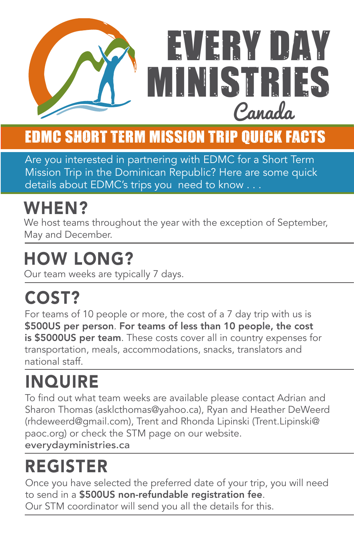

#### EDMC Short Term Mission Trip Quick Facts

Are you interested in partnering with EDMC for a Short Term Mission Trip in the Dominican Republic? Here are some quick details about EDMC's trips you need to know . . .

### WHEN?

We host teams throughout the year with the exception of September, May and December.

#### HOW LONG?

Our team weeks are typically 7 days.

## COST?

For teams of 10 people or more, the cost of a 7 day trip with us is \$500US per person. For teams of less than 10 people, the cost is \$5000US per team. These costs cover all in country expenses for transportation, meals, accommodations, snacks, translators and national staff.

## **INQUIRE**

To find out what team weeks are available please contact Adrian and Sharon Thomas (asklcthomas@yahoo.ca), Ryan and Heather DeWeerd (rhdeweerd@gmail.com), Trent and Rhonda Lipinski (Trent.Lipinski@ paoc.org) or check the STM page on our website. everydayministries.ca

### REGISTER

Once you have selected the preferred date of your trip, you will need to send in a \$500US non-refundable registration fee. Our STM coordinator will send you all the details for this.